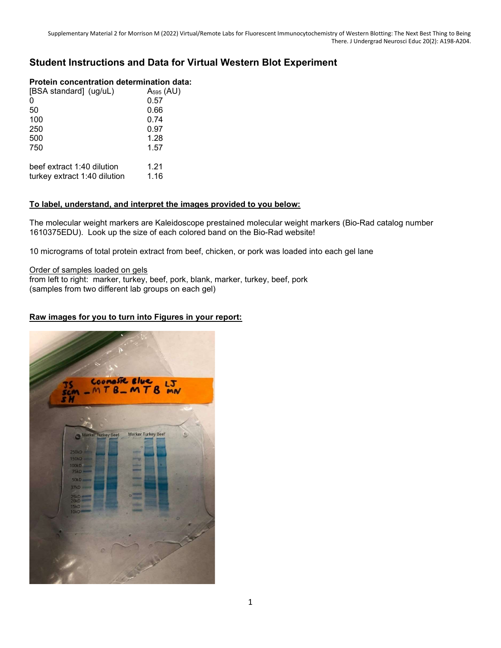# Student Instructions and Data for Virtual Western Blot Experiment

## Protein concentration determination data:

| [BSA standard] (ug/uL)       | $A_{595}$ (AU) |
|------------------------------|----------------|
| $\Omega$                     | 0.57           |
| 50                           | 0.66           |
| 100                          | 0.74           |
| 250                          | 0.97           |
| 500                          | 1.28           |
| 750                          | 1.57           |
| beef extract 1:40 dilution   | 1.21           |
| turkey extract 1:40 dilution | 1.16           |

## To label, understand, and interpret the images provided to you below:

The molecular weight markers are Kaleidoscope prestained molecular weight markers (Bio-Rad catalog number 1610375EDU). Look up the size of each colored band on the Bio-Rad website!

10 micrograms of total protein extract from beef, chicken, or pork was loaded into each gel lane

Order of samples loaded on gels

from left to right: marker, turkey, beef, pork, blank, marker, turkey, beef, pork (samples from two different lab groups on each gel)

# Raw images for you to turn into Figures in your report:

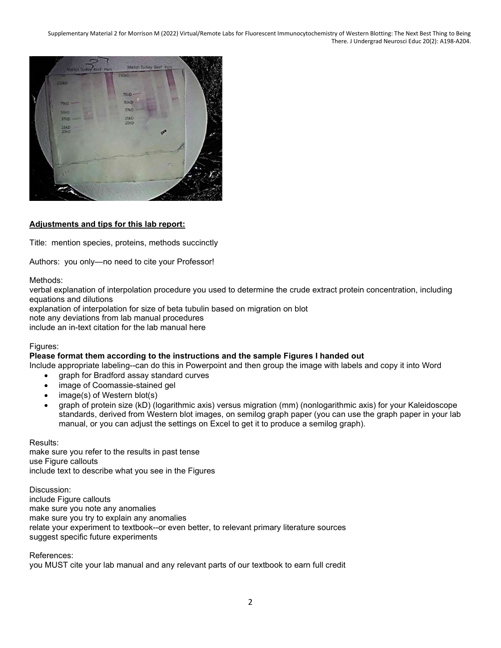Supplementary Material 2 for Morrison M (2022) Virtual/Remote Labs for Fluorescent Immunocytochemistry of Western Blotting: The Next Best Thing to Being There. J Undergrad Neurosci Educ 20(2): A198-A204.



## Adjustments and tips for this lab report:

Title: mention species, proteins, methods succinctly

Authors: you only—no need to cite your Professor!

Methods:

verbal explanation of interpolation procedure you used to determine the crude extract protein concentration, including equations and dilutions

explanation of interpolation for size of beta tubulin based on migration on blot

note any deviations from lab manual procedures

include an in-text citation for the lab manual here

## Figures:

## Please format them according to the instructions and the sample Figures I handed out

Include appropriate labeling--can do this in Powerpoint and then group the image with labels and copy it into Word

- graph for Bradford assay standard curves
- image of Coomassie-stained gel
- image(s) of Western blot(s)
- graph of protein size (kD) (logarithmic axis) versus migration (mm) (nonlogarithmic axis) for your Kaleidoscope standards, derived from Western blot images, on semilog graph paper (you can use the graph paper in your lab manual, or you can adjust the settings on Excel to get it to produce a semilog graph).

Results:

make sure you refer to the results in past tense use Figure callouts include text to describe what you see in the Figures

Discussion: include Figure callouts make sure you note any anomalies make sure you try to explain any anomalies relate your experiment to textbook--or even better, to relevant primary literature sources suggest specific future experiments

References:

you MUST cite your lab manual and any relevant parts of our textbook to earn full credit